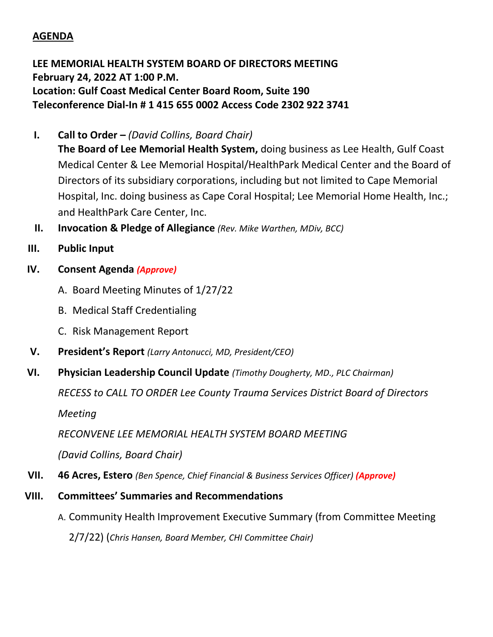## **AGENDA**

**LEE MEMORIAL HEALTH SYSTEM BOARD OF DIRECTORS MEETING February 24, 2022 AT 1:00 P.M. Location: Gulf Coast Medical Center Board Room, Suite 190 Teleconference Dial-In # 1 415 655 0002 Access Code 2302 922 3741**

- **I. Call to Order –** *(David Collins, Board Chair)*
	- **The Board of Lee Memorial Health System,** doing business as Lee Health, Gulf Coast Medical Center & Lee Memorial Hospital/HealthPark Medical Center and the Board of Directors of its subsidiary corporations, including but not limited to Cape Memorial Hospital, Inc. doing business as Cape Coral Hospital; Lee Memorial Home Health, Inc.; and HealthPark Care Center, Inc.
- **II. Invocation & Pledge of Allegiance** *(Rev. Mike Warthen, MDiv, BCC)*
- **III. Public Input**
- **IV. Consent Agenda** *(Approve)*
	- A. Board Meeting Minutes of 1/27/22
	- B. Medical Staff Credentialing
	- C. Risk Management Report
- **V. President's Report** *(Larry Antonucci, MD, President/CEO)*
- **VI. Physician Leadership Council Update** *(Timothy Dougherty, MD., PLC Chairman)*

*RECESS to CALL TO ORDER Lee County Trauma Services District Board of Directors*

*Meeting*

*RECONVENE LEE MEMORIAL HEALTH SYSTEM BOARD MEETING*

*(David Collins, Board Chair)*

- **VII. 46 Acres, Estero** *(Ben Spence, Chief Financial & Business Services Officer) (Approve)*
- **VIII. Committees' Summaries and Recommendations**
	- A. Community Health Improvement Executive Summary (from Committee Meeting

2/7/22) (*Chris Hansen, Board Member, CHI Committee Chair)*